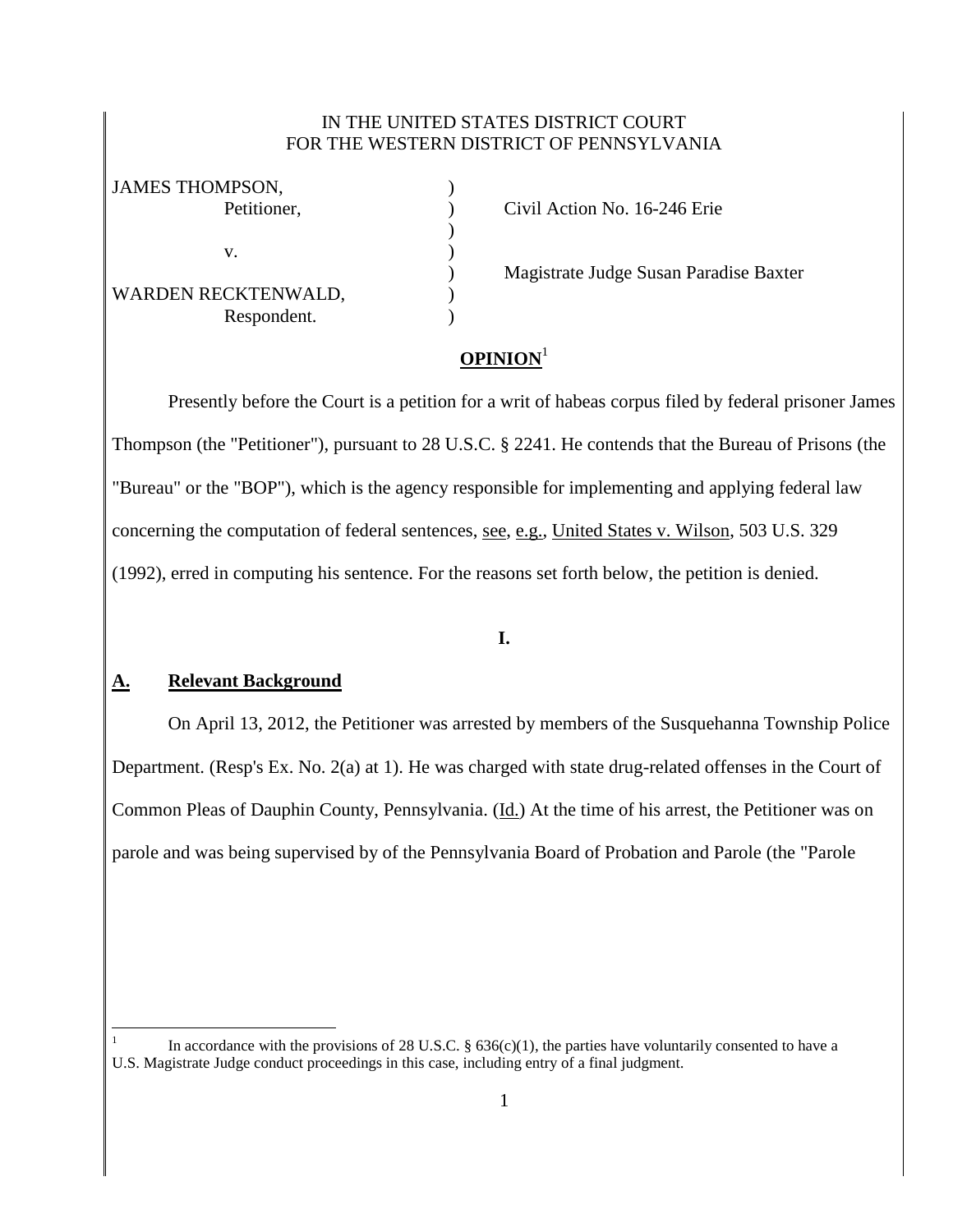### IN THE UNITED STATES DISTRICT COURT FOR THE WESTERN DISTRICT OF PENNSYLVANIA

)

| <b>JAMES THOMPSON,</b> |  |
|------------------------|--|
| Petitioner,            |  |
|                        |  |
| V.                     |  |
|                        |  |
| WARDEN RECKTENWALD,    |  |
| Respondent.            |  |

Petition No. 16-246 Erie

) Magistrate Judge Susan Paradise Baxter

# **OPINION**<sup>1</sup>

Presently before the Court is a petition for a writ of habeas corpus filed by federal prisoner James Thompson (the "Petitioner"), pursuant to 28 U.S.C. § 2241. He contends that the Bureau of Prisons (the "Bureau" or the "BOP"), which is the agency responsible for implementing and applying federal law concerning the computation of federal sentences, see, e.g., United States v. Wilson, 503 U.S. 329 (1992), erred in computing his sentence. For the reasons set forth below, the petition is denied.

## **I.**

## **A. Relevant Background**

 $\overline{a}$ 

On April 13, 2012, the Petitioner was arrested by members of the Susquehanna Township Police Department. (Resp's Ex. No. 2(a) at 1). He was charged with state drug-related offenses in the Court of Common Pleas of Dauphin County, Pennsylvania. (Id.) At the time of his arrest, the Petitioner was on parole and was being supervised by of the Pennsylvania Board of Probation and Parole (the "Parole

<sup>1</sup> In accordance with the provisions of 28 U.S.C.  $\S$  636(c)(1), the parties have voluntarily consented to have a U.S. Magistrate Judge conduct proceedings in this case, including entry of a final judgment.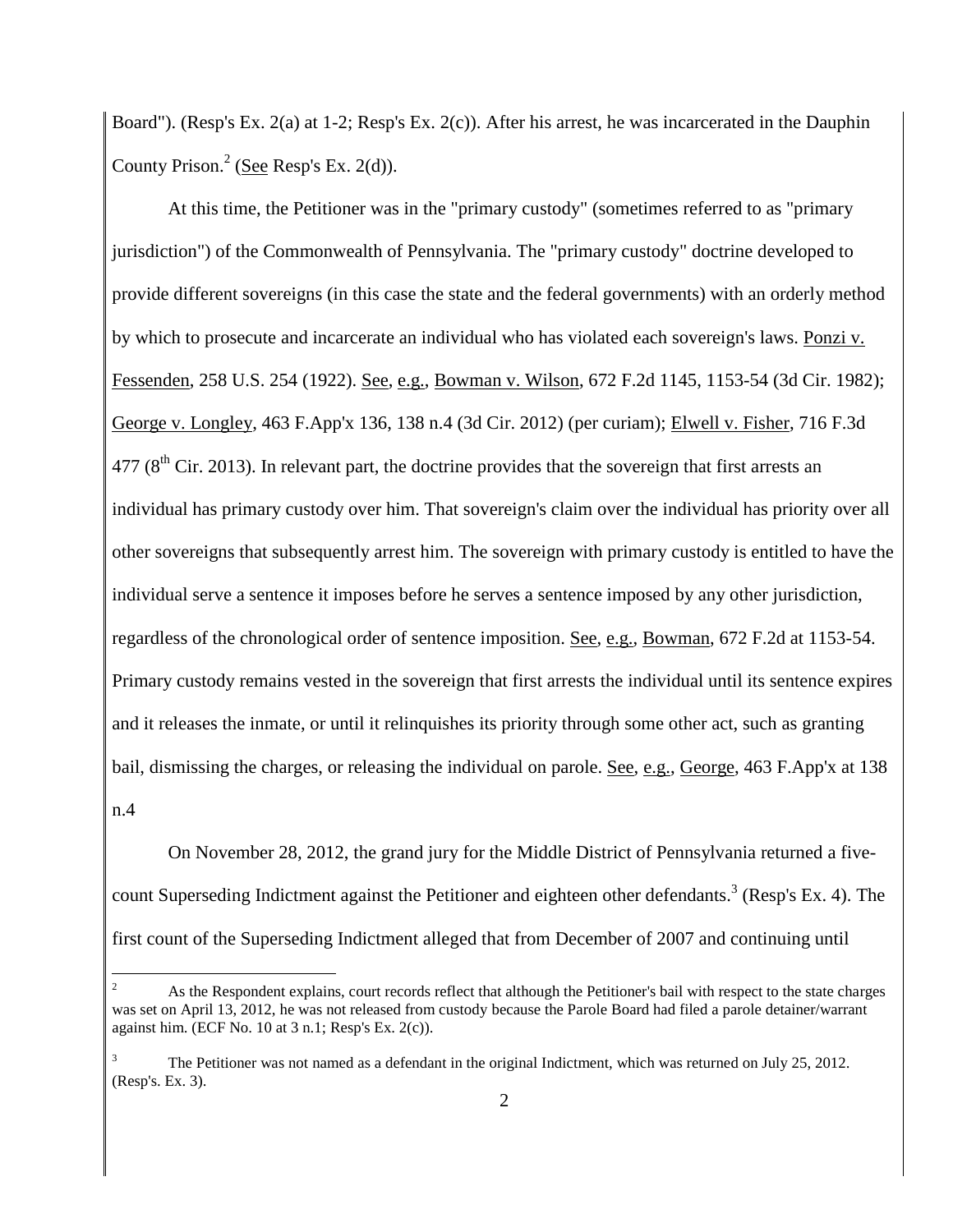Board"). (Resp's Ex. 2(a) at 1-2; Resp's Ex. 2(c)). After his arrest, he was incarcerated in the Dauphin County Prison.<sup>2</sup> (See Resp's Ex. 2(d)).

At this time, the Petitioner was in the "primary custody" (sometimes referred to as "primary jurisdiction") of the Commonwealth of Pennsylvania. The "primary custody" doctrine developed to provide different sovereigns (in this case the state and the federal governments) with an orderly method by which to prosecute and incarcerate an individual who has violated each sovereign's laws. Ponzi v. Fessenden, 258 U.S. 254 (1922). See, e.g., Bowman v. Wilson, 672 F.2d 1145, 1153-54 (3d Cir. 1982); George v. Longley, 463 F.App'x 136, 138 n.4 (3d Cir. 2012) (per curiam); Elwell v. Fisher, 716 F.3d  $477$  ( $8<sup>th</sup>$  Cir. 2013). In relevant part, the doctrine provides that the sovereign that first arrests an individual has primary custody over him. That sovereign's claim over the individual has priority over all other sovereigns that subsequently arrest him. The sovereign with primary custody is entitled to have the individual serve a sentence it imposes before he serves a sentence imposed by any other jurisdiction, regardless of the chronological order of sentence imposition. See, e.g., Bowman, 672 F.2d at 1153-54. Primary custody remains vested in the sovereign that first arrests the individual until its sentence expires and it releases the inmate, or until it relinquishes its priority through some other act, such as granting bail, dismissing the charges, or releasing the individual on parole. See, e.g., George, 463 F.App'x at 138 n.4

On November 28, 2012, the grand jury for the Middle District of Pennsylvania returned a fivecount Superseding Indictment against the Petitioner and eighteen other defendants.<sup>3</sup> (Resp's Ex. 4). The first count of the Superseding Indictment alleged that from December of 2007 and continuing until

 $\overline{a}$ 

As the Respondent explains, court records reflect that although the Petitioner's bail with respect to the state charges was set on April 13, 2012, he was not released from custody because the Parole Board had filed a parole detainer/warrant against him. (ECF No. 10 at  $3$  n.1; Resp's Ex.  $2(c)$ ).

<sup>3</sup> The Petitioner was not named as a defendant in the original Indictment, which was returned on July 25, 2012. (Resp's. Ex. 3).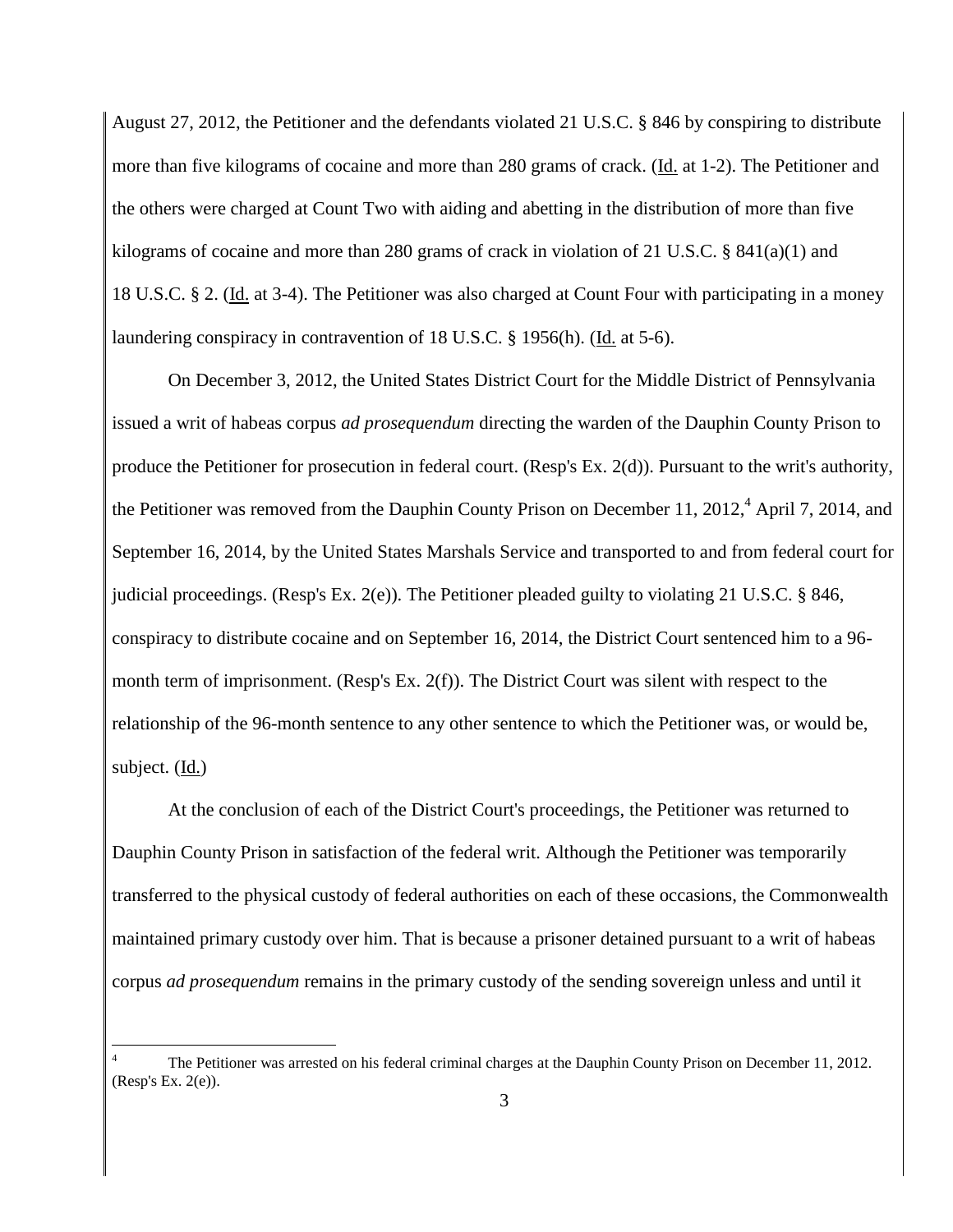August 27, 2012, the Petitioner and the defendants violated 21 U.S.C. § 846 by conspiring to distribute more than five kilograms of cocaine and more than 280 grams of crack. (Id. at 1-2). The Petitioner and the others were charged at Count Two with aiding and abetting in the distribution of more than five kilograms of cocaine and more than 280 grams of crack in violation of 21 U.S.C. § 841(a)(1) and 18 U.S.C. § 2. (Id. at 3-4). The Petitioner was also charged at Count Four with participating in a money laundering conspiracy in contravention of 18 U.S.C. § 1956(h). (Id. at 5-6).

On December 3, 2012, the United States District Court for the Middle District of Pennsylvania issued a writ of habeas corpus *ad prosequendum* directing the warden of the Dauphin County Prison to produce the Petitioner for prosecution in federal court. (Resp's Ex. 2(d)). Pursuant to the writ's authority, the Petitioner was removed from the Dauphin County Prison on December 11, 2012,<sup>4</sup> April 7, 2014, and September 16, 2014, by the United States Marshals Service and transported to and from federal court for judicial proceedings. (Resp's Ex. 2(e)). The Petitioner pleaded guilty to violating 21 U.S.C. § 846, conspiracy to distribute cocaine and on September 16, 2014, the District Court sentenced him to a 96 month term of imprisonment. (Resp's Ex.  $2(f)$ ). The District Court was silent with respect to the relationship of the 96-month sentence to any other sentence to which the Petitioner was, or would be, subject. (Id.)

At the conclusion of each of the District Court's proceedings, the Petitioner was returned to Dauphin County Prison in satisfaction of the federal writ. Although the Petitioner was temporarily transferred to the physical custody of federal authorities on each of these occasions, the Commonwealth maintained primary custody over him. That is because a prisoner detained pursuant to a writ of habeas corpus *ad prosequendum* remains in the primary custody of the sending sovereign unless and until it

 $\overline{a}$ 

<sup>4</sup> The Petitioner was arrested on his federal criminal charges at the Dauphin County Prison on December 11, 2012. (Resp's Ex. 2(e)).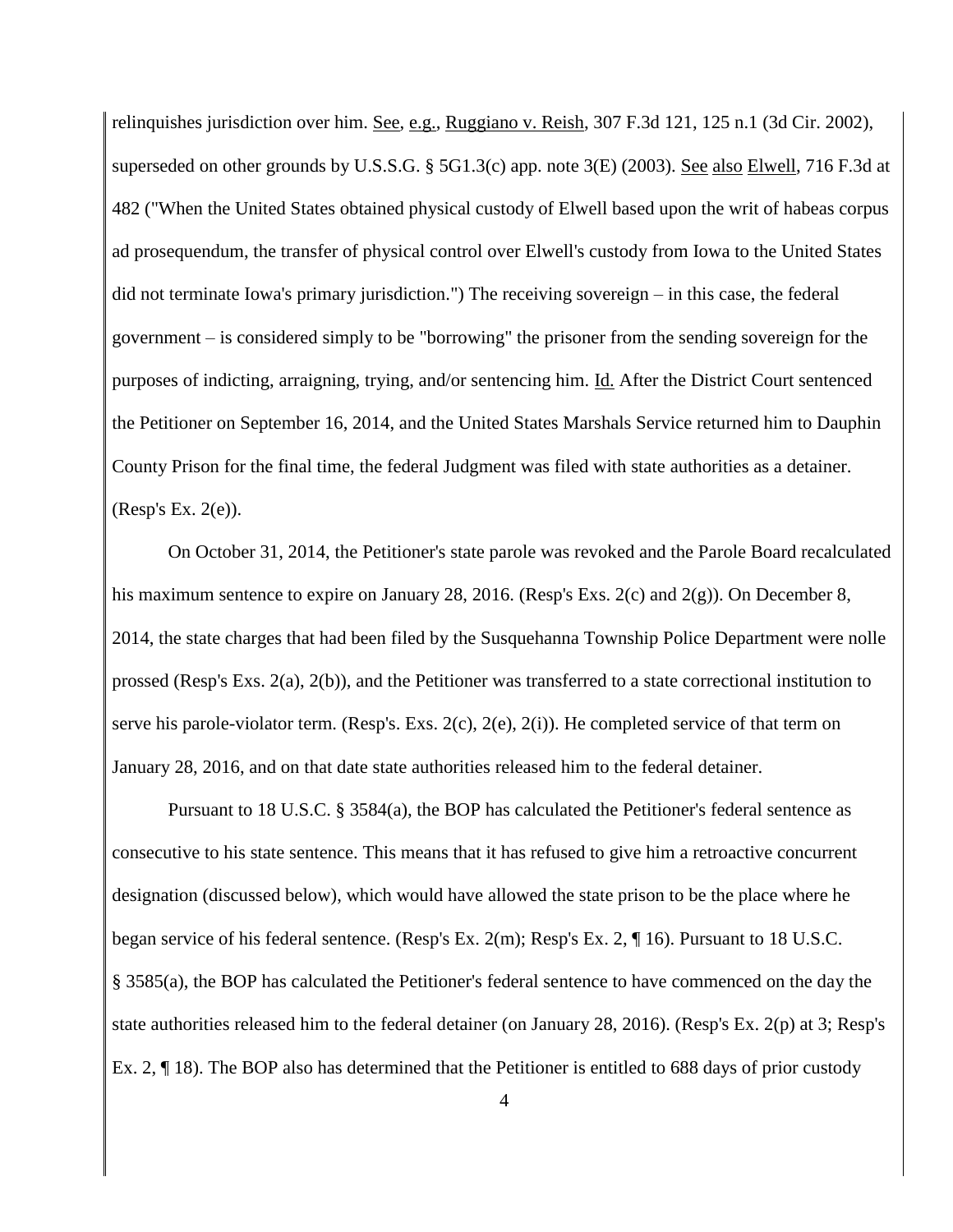relinquishes jurisdiction over him. See, e.g., Ruggiano v. Reish, 307 F.3d 121, 125 n.1 (3d Cir. 2002), superseded on other grounds by U.S.S.G. § 5G1.3(c) app. note 3(E) (2003). See also Elwell, 716 F.3d at 482 ("When the United States obtained physical custody of Elwell based upon the writ of habeas corpus ad prosequendum, the transfer of physical control over Elwell's custody from Iowa to the United States did not terminate Iowa's primary jurisdiction.") The receiving sovereign – in this case, the federal government – is considered simply to be "borrowing" the prisoner from the sending sovereign for the purposes of indicting, arraigning, trying, and/or sentencing him. Id. After the District Court sentenced the Petitioner on September 16, 2014, and the United States Marshals Service returned him to Dauphin County Prison for the final time, the federal Judgment was filed with state authorities as a detainer. (Resp's Ex. 2(e)).

On October 31, 2014, the Petitioner's state parole was revoked and the Parole Board recalculated his maximum sentence to expire on January 28, 2016. (Resp's Exs. 2(c) and 2(g)). On December 8, 2014, the state charges that had been filed by the Susquehanna Township Police Department were nolle prossed (Resp's Exs. 2(a), 2(b)), and the Petitioner was transferred to a state correctional institution to serve his parole-violator term. (Resp's. Exs. 2(c), 2(e), 2(i)). He completed service of that term on January 28, 2016, and on that date state authorities released him to the federal detainer.

Pursuant to 18 U.S.C. § 3584(a), the BOP has calculated the Petitioner's federal sentence as consecutive to his state sentence. This means that it has refused to give him a retroactive concurrent designation (discussed below), which would have allowed the state prison to be the place where he began service of his federal sentence. (Resp's Ex. 2(m); Resp's Ex. 2, ¶ 16). Pursuant to 18 U.S.C. § 3585(a), the BOP has calculated the Petitioner's federal sentence to have commenced on the day the state authorities released him to the federal detainer (on January 28, 2016). (Resp's Ex. 2(p) at 3; Resp's Ex. 2, ¶ 18). The BOP also has determined that the Petitioner is entitled to 688 days of prior custody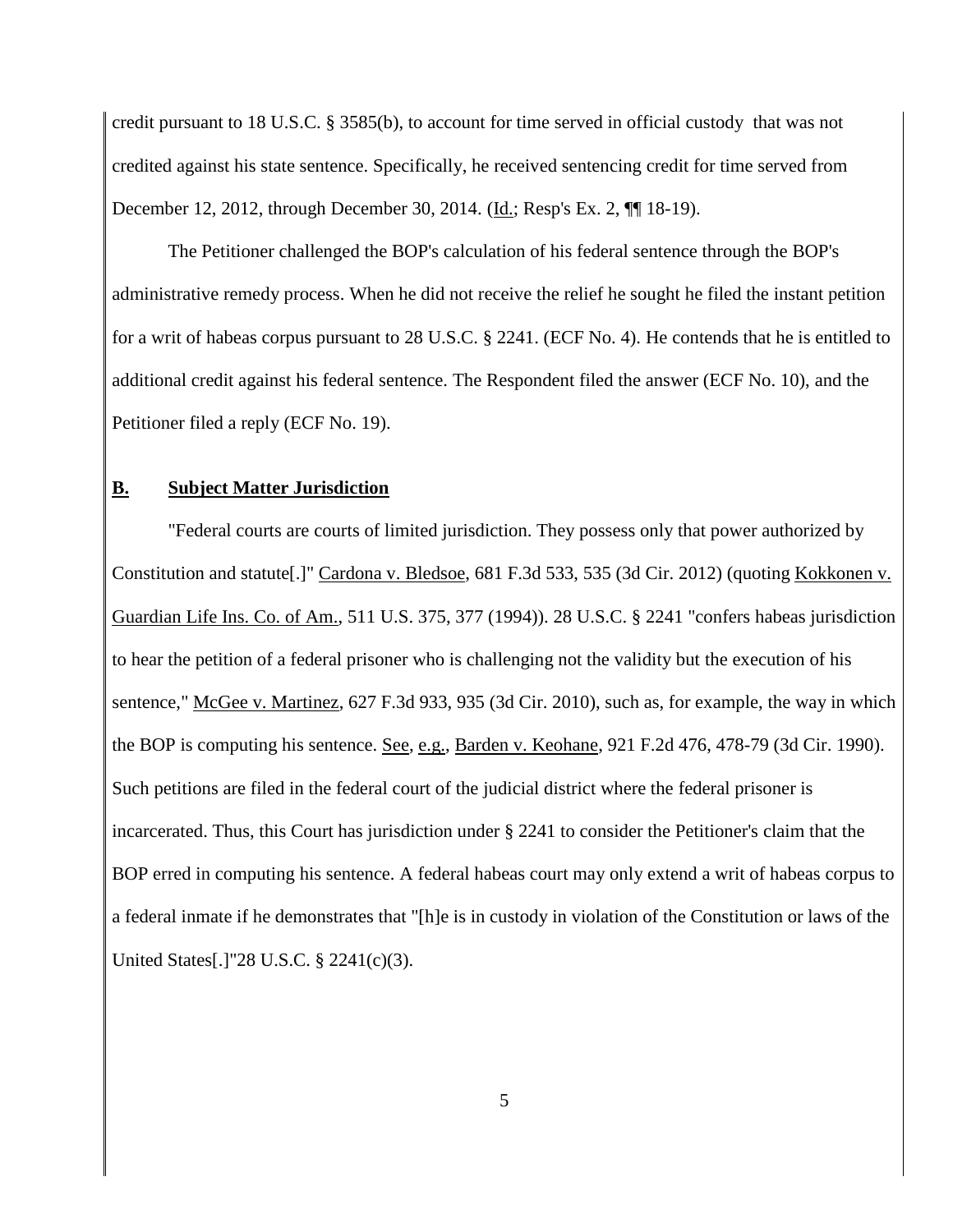credit pursuant to 18 U.S.C. § 3585(b), to account for time served in official custody that was not credited against his state sentence. Specifically, he received sentencing credit for time served from December 12, 2012, through December 30, 2014. (Id.; Resp's Ex. 2, ¶ 18-19).

The Petitioner challenged the BOP's calculation of his federal sentence through the BOP's administrative remedy process. When he did not receive the relief he sought he filed the instant petition for a writ of habeas corpus pursuant to 28 U.S.C. § 2241. (ECF No. 4). He contends that he is entitled to additional credit against his federal sentence. The Respondent filed the answer (ECF No. 10), and the Petitioner filed a reply (ECF No. 19).

#### **B. Subject Matter Jurisdiction**

"Federal courts are courts of limited jurisdiction. They possess only that power authorized by Constitution and statute[.]" Cardona v. Bledsoe, 681 F.3d 533, 535 (3d Cir. 2012) (quoting Kokkonen v. Guardian Life Ins. Co. of Am., 511 U.S. 375, 377 (1994)). 28 U.S.C. § 2241 "confers habeas jurisdiction to hear the petition of a federal prisoner who is challenging not the validity but the execution of his sentence," McGee v. Martinez, 627 F.3d 933, 935 (3d Cir. 2010), such as, for example, the way in which the BOP is computing his sentence. See, e.g., Barden v. Keohane, 921 F.2d 476, 478-79 (3d Cir. 1990). Such petitions are filed in the federal court of the judicial district where the federal prisoner is incarcerated. Thus, this Court has jurisdiction under § 2241 to consider the Petitioner's claim that the BOP erred in computing his sentence. A federal habeas court may only extend a writ of habeas corpus to a federal inmate if he demonstrates that "[h]e is in custody in violation of the Constitution or laws of the United States[.]"28 U.S.C. § 2241(c)(3).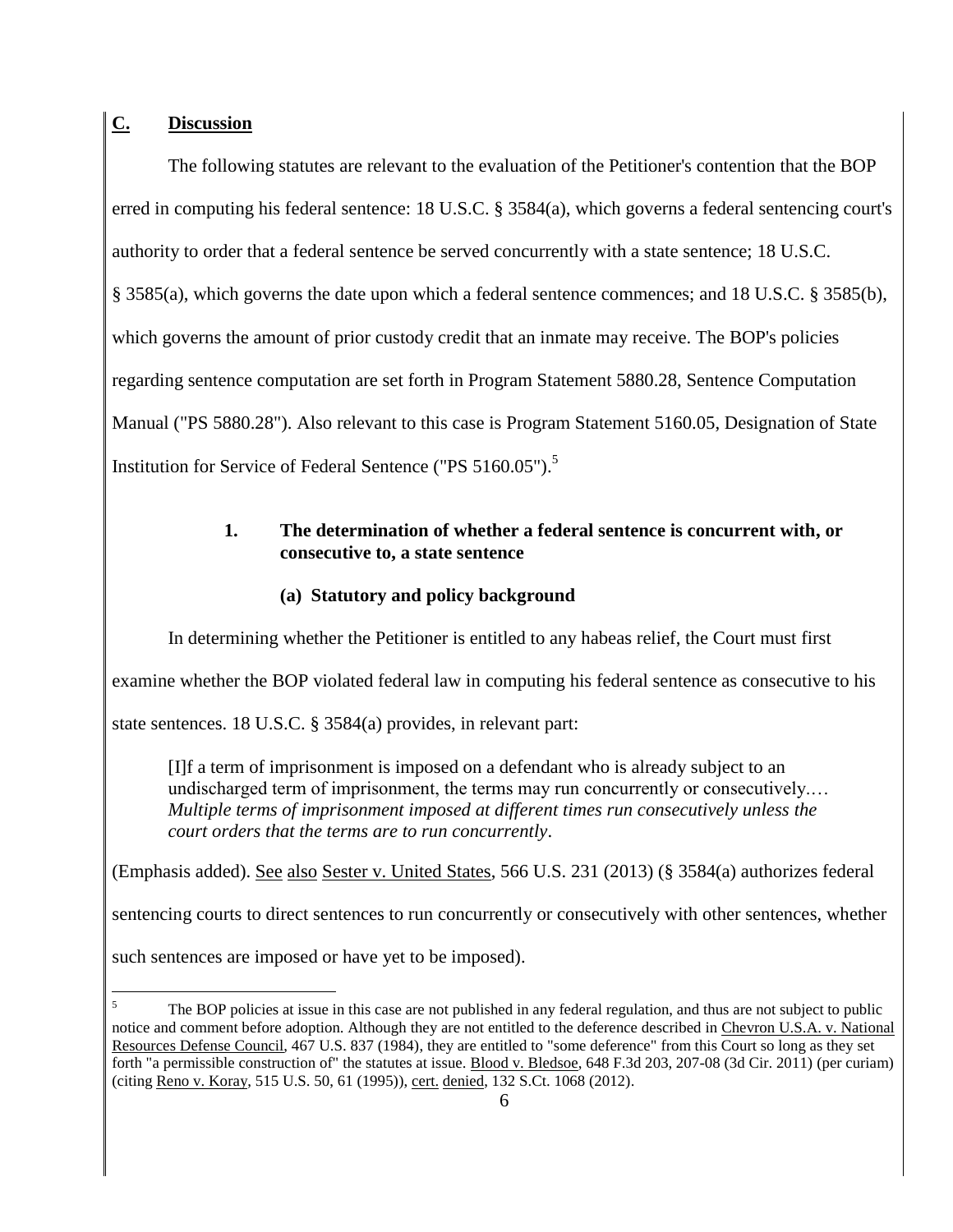## **C. Discussion**

The following statutes are relevant to the evaluation of the Petitioner's contention that the BOP erred in computing his federal sentence: 18 U.S.C. § 3584(a), which governs a federal sentencing court's authority to order that a federal sentence be served concurrently with a state sentence; 18 U.S.C. § 3585(a), which governs the date upon which a federal sentence commences; and 18 U.S.C. § 3585(b), which governs the amount of prior custody credit that an inmate may receive. The BOP's policies regarding sentence computation are set forth in Program Statement 5880.28, Sentence Computation Manual ("PS 5880.28"). Also relevant to this case is Program Statement 5160.05, Designation of State Institution for Service of Federal Sentence ("PS 5160.05").<sup>5</sup>

## **1. The determination of whether a federal sentence is concurrent with, or consecutive to, a state sentence**

## **(a) Statutory and policy background**

In determining whether the Petitioner is entitled to any habeas relief, the Court must first

examine whether the BOP violated federal law in computing his federal sentence as consecutive to his

state sentences. 18 U.S.C. § 3584(a) provides, in relevant part:

[I]f a term of imprisonment is imposed on a defendant who is already subject to an undischarged term of imprisonment, the terms may run concurrently or consecutively.… *Multiple terms of imprisonment imposed at different times run consecutively unless the court orders that the terms are to run concurrently*.

(Emphasis added). See also Sester v. United States, 566 U.S. 231 (2013) (§ 3584(a) authorizes federal

sentencing courts to direct sentences to run concurrently or consecutively with other sentences, whether

such sentences are imposed or have yet to be imposed).

 $\overline{a}$ 

The BOP policies at issue in this case are not published in any federal regulation, and thus are not subject to public notice and comment before adoption. Although they are not entitled to the deference described in Chevron U.S.A. v. National Resources Defense Council, 467 U.S. 837 (1984), they are entitled to "some deference" from this Court so long as they set forth "a permissible construction of" the statutes at issue. Blood v. Bledsoe, 648 F.3d 203, 207-08 (3d Cir. 2011) (per curiam) (citing Reno v. Koray, 515 U.S. 50, 61 (1995)), cert. denied, 132 S.Ct. 1068 (2012).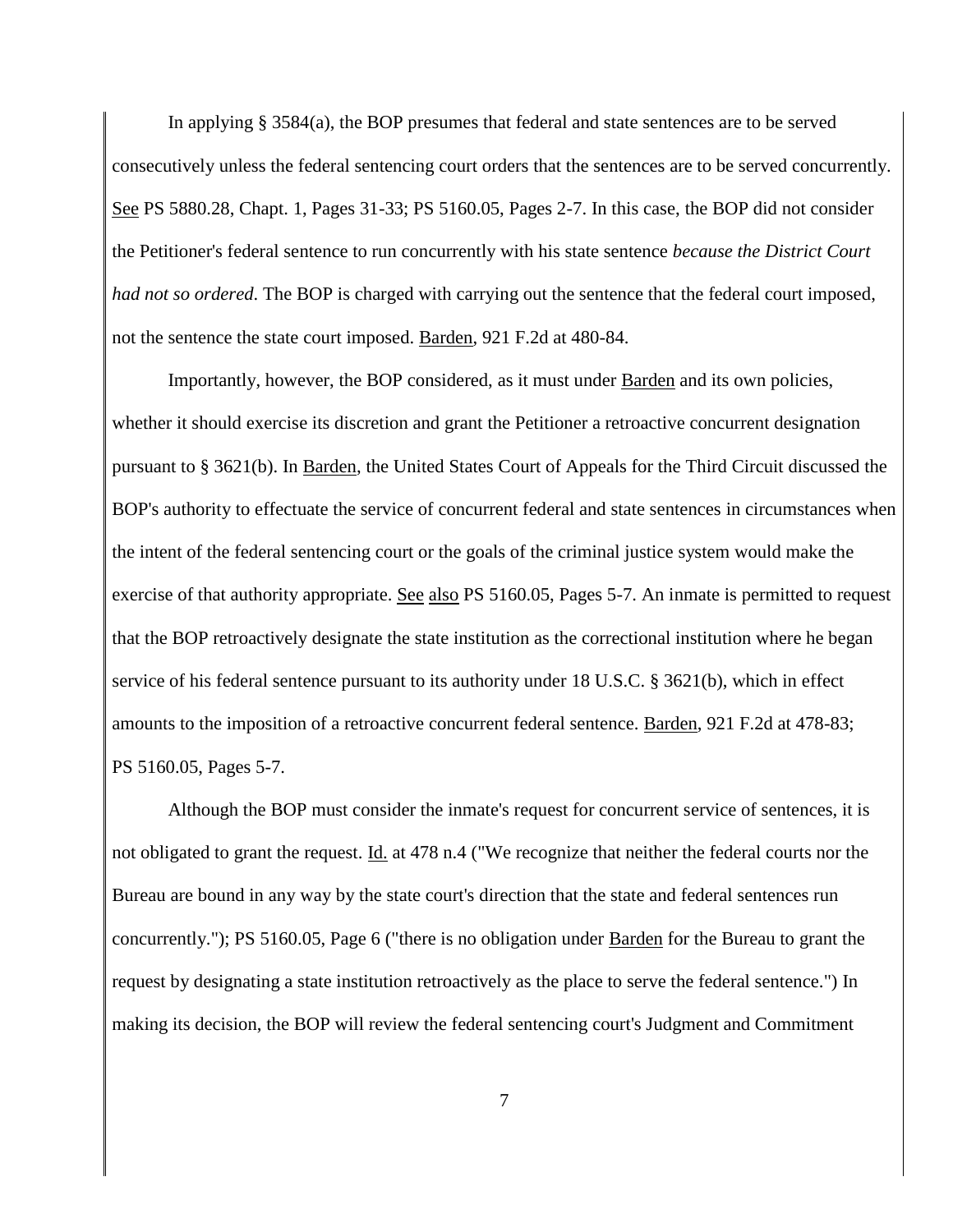In applying § 3584(a), the BOP presumes that federal and state sentences are to be served consecutively unless the federal sentencing court orders that the sentences are to be served concurrently. See PS 5880.28, Chapt. 1, Pages 31-33; PS 5160.05, Pages 2-7. In this case, the BOP did not consider the Petitioner's federal sentence to run concurrently with his state sentence *because the District Court had not so ordered*. The BOP is charged with carrying out the sentence that the federal court imposed, not the sentence the state court imposed. Barden, 921 F.2d at 480-84.

Importantly, however, the BOP considered, as it must under Barden and its own policies, whether it should exercise its discretion and grant the Petitioner a retroactive concurrent designation pursuant to § 3621(b). In Barden, the United States Court of Appeals for the Third Circuit discussed the BOP's authority to effectuate the service of concurrent federal and state sentences in circumstances when the intent of the federal sentencing court or the goals of the criminal justice system would make the exercise of that authority appropriate. See also PS 5160.05, Pages 5-7. An inmate is permitted to request that the BOP retroactively designate the state institution as the correctional institution where he began service of his federal sentence pursuant to its authority under 18 U.S.C. § 3621(b), which in effect amounts to the imposition of a retroactive concurrent federal sentence. Barden, 921 F.2d at 478-83; PS 5160.05, Pages 5-7.

Although the BOP must consider the inmate's request for concurrent service of sentences, it is not obligated to grant the request. Id. at 478 n.4 ("We recognize that neither the federal courts nor the Bureau are bound in any way by the state court's direction that the state and federal sentences run concurrently."); PS 5160.05, Page 6 ("there is no obligation under **Barden** for the Bureau to grant the request by designating a state institution retroactively as the place to serve the federal sentence.") In making its decision, the BOP will review the federal sentencing court's Judgment and Commitment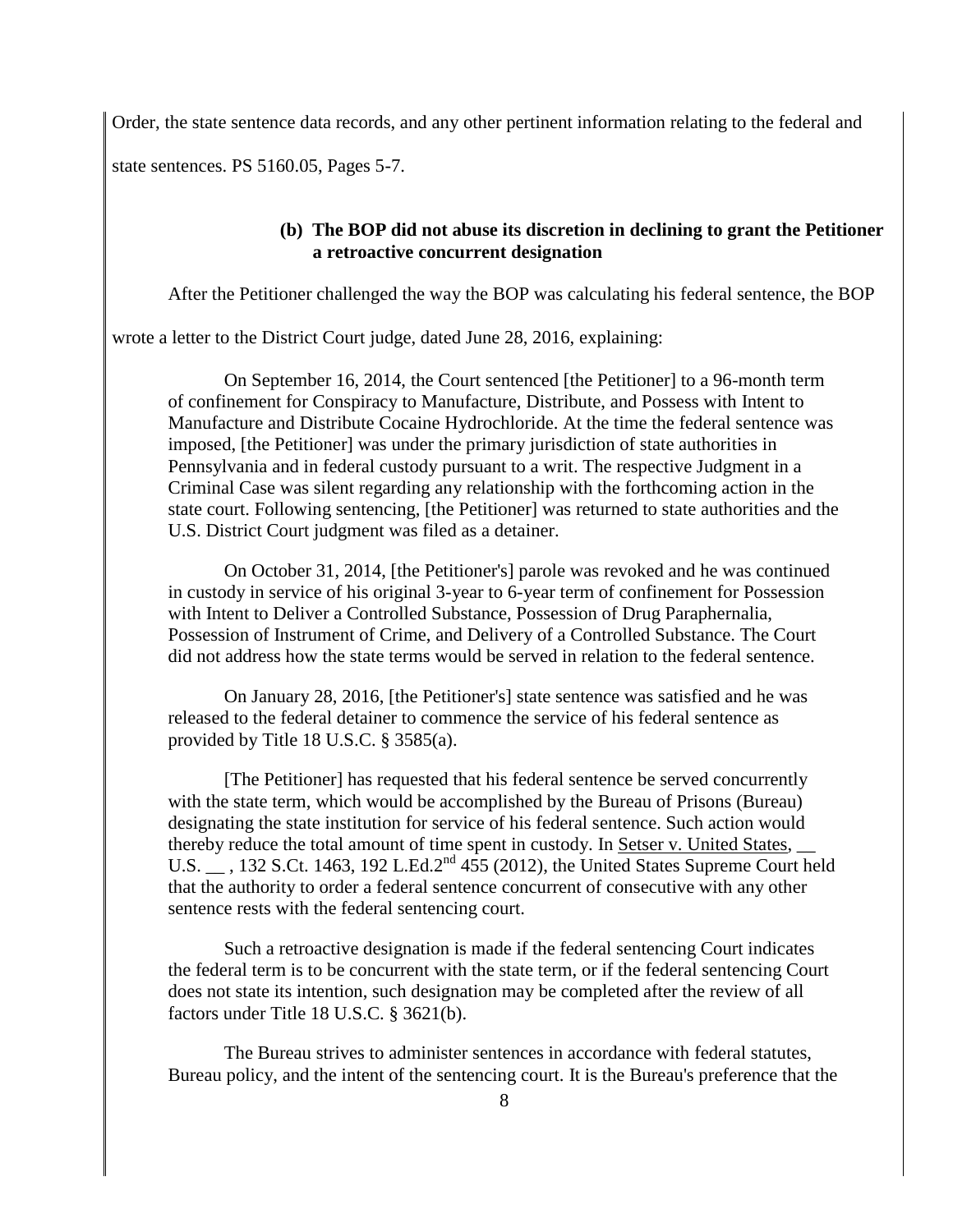Order, the state sentence data records, and any other pertinent information relating to the federal and

state sentences. PS 5160.05, Pages 5-7.

#### **(b) The BOP did not abuse its discretion in declining to grant the Petitioner a retroactive concurrent designation**

After the Petitioner challenged the way the BOP was calculating his federal sentence, the BOP

wrote a letter to the District Court judge, dated June 28, 2016, explaining:

On September 16, 2014, the Court sentenced [the Petitioner] to a 96-month term of confinement for Conspiracy to Manufacture, Distribute, and Possess with Intent to Manufacture and Distribute Cocaine Hydrochloride. At the time the federal sentence was imposed, [the Petitioner] was under the primary jurisdiction of state authorities in Pennsylvania and in federal custody pursuant to a writ. The respective Judgment in a Criminal Case was silent regarding any relationship with the forthcoming action in the state court. Following sentencing, [the Petitioner] was returned to state authorities and the U.S. District Court judgment was filed as a detainer.

On October 31, 2014, [the Petitioner's] parole was revoked and he was continued in custody in service of his original 3-year to 6-year term of confinement for Possession with Intent to Deliver a Controlled Substance, Possession of Drug Paraphernalia, Possession of Instrument of Crime, and Delivery of a Controlled Substance. The Court did not address how the state terms would be served in relation to the federal sentence.

On January 28, 2016, [the Petitioner's] state sentence was satisfied and he was released to the federal detainer to commence the service of his federal sentence as provided by Title 18 U.S.C. § 3585(a).

[The Petitioner] has requested that his federal sentence be served concurrently with the state term, which would be accomplished by the Bureau of Prisons (Bureau) designating the state institution for service of his federal sentence. Such action would thereby reduce the total amount of time spent in custody. In Setser v. United States, \_\_ U.S.  $\overline{C}$ , 132 S.Ct. 1463, 192 L.Ed.2<sup>nd</sup> 455 (2012), the United States Supreme Court held that the authority to order a federal sentence concurrent of consecutive with any other sentence rests with the federal sentencing court.

Such a retroactive designation is made if the federal sentencing Court indicates the federal term is to be concurrent with the state term, or if the federal sentencing Court does not state its intention, such designation may be completed after the review of all factors under Title 18 U.S.C. § 3621(b).

The Bureau strives to administer sentences in accordance with federal statutes, Bureau policy, and the intent of the sentencing court. It is the Bureau's preference that the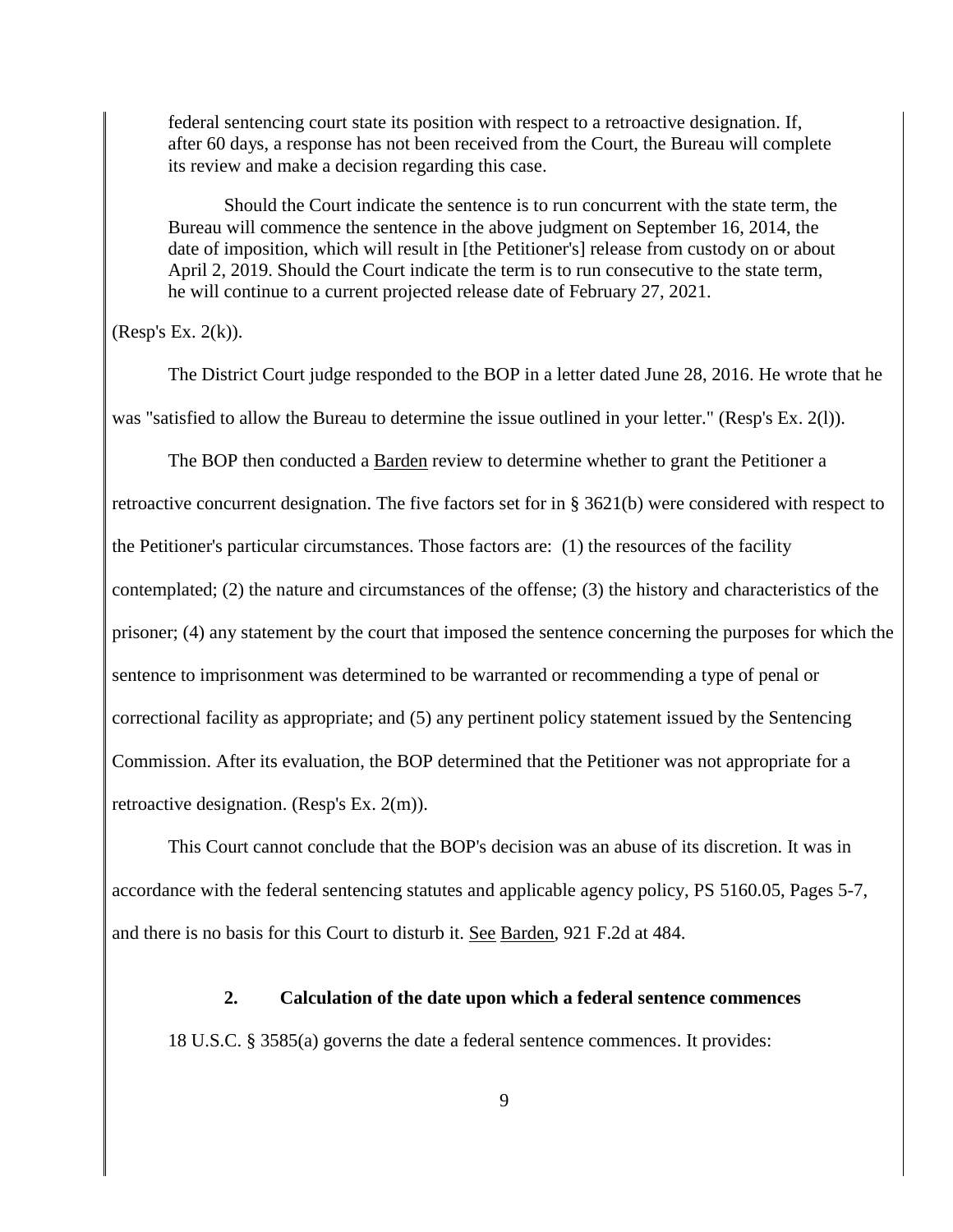federal sentencing court state its position with respect to a retroactive designation. If, after 60 days, a response has not been received from the Court, the Bureau will complete its review and make a decision regarding this case.

Should the Court indicate the sentence is to run concurrent with the state term, the Bureau will commence the sentence in the above judgment on September 16, 2014, the date of imposition, which will result in [the Petitioner's] release from custody on or about April 2, 2019. Should the Court indicate the term is to run consecutive to the state term, he will continue to a current projected release date of February 27, 2021.

(Resp's Ex. 2(k)).

The District Court judge responded to the BOP in a letter dated June 28, 2016. He wrote that he was "satisfied to allow the Bureau to determine the issue outlined in your letter." (Resp's Ex. 2(l)).

The BOP then conducted a Barden review to determine whether to grant the Petitioner a retroactive concurrent designation. The five factors set for in § 3621(b) were considered with respect to the Petitioner's particular circumstances. Those factors are: (1) the resources of the facility contemplated; (2) the nature and circumstances of the offense; (3) the history and characteristics of the prisoner; (4) any statement by the court that imposed the sentence concerning the purposes for which the sentence to imprisonment was determined to be warranted or recommending a type of penal or correctional facility as appropriate; and (5) any pertinent policy statement issued by the Sentencing Commission. After its evaluation, the BOP determined that the Petitioner was not appropriate for a retroactive designation. (Resp's Ex. 2(m)).

This Court cannot conclude that the BOP's decision was an abuse of its discretion. It was in accordance with the federal sentencing statutes and applicable agency policy, PS 5160.05, Pages 5-7, and there is no basis for this Court to disturb it. See Barden, 921 F.2d at 484.

**2. Calculation of the date upon which a federal sentence commences** 18 U.S.C. § 3585(a) governs the date a federal sentence commences. It provides: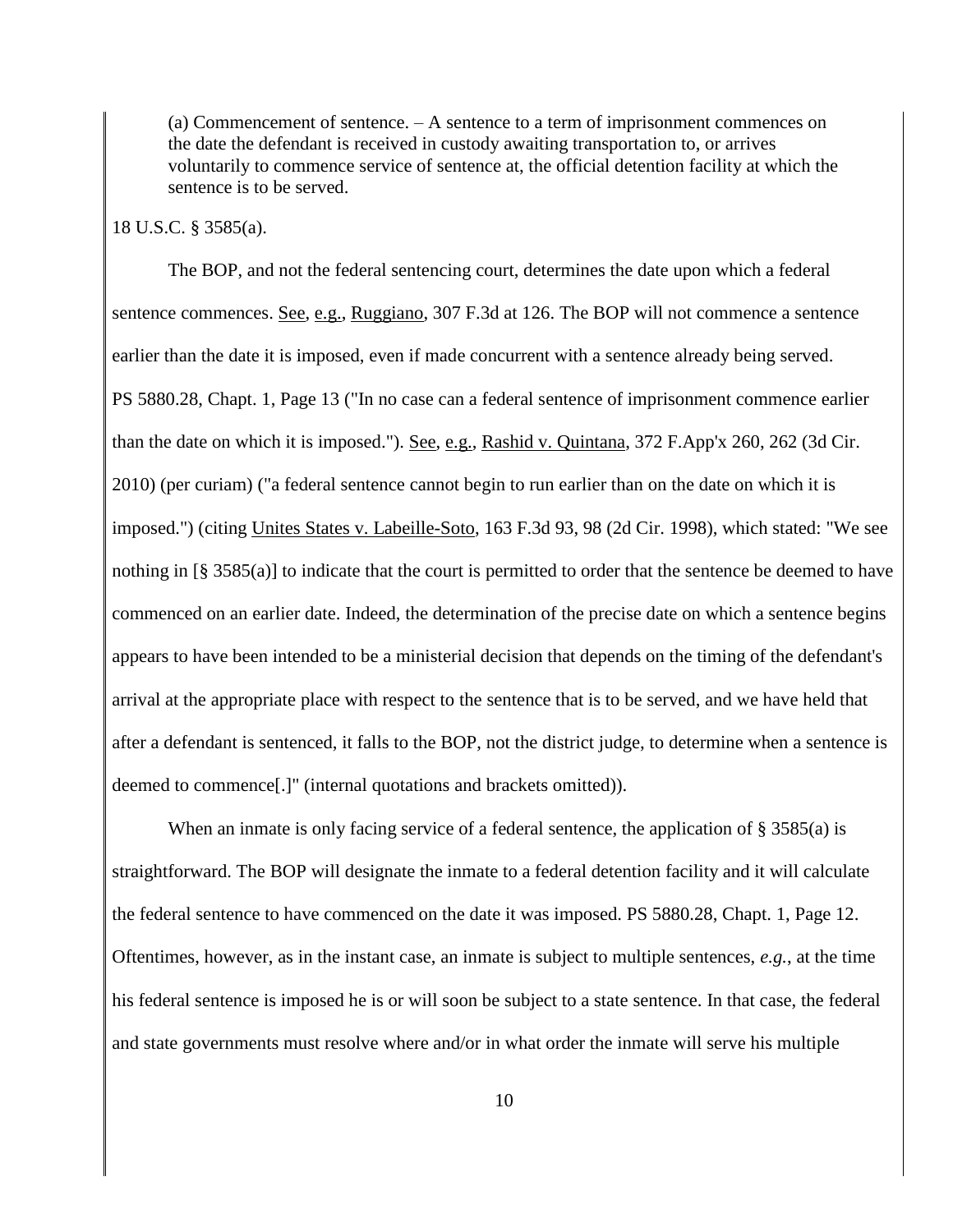(a) Commencement of sentence. – A sentence to a term of imprisonment commences on the date the defendant is received in custody awaiting transportation to, or arrives voluntarily to commence service of sentence at, the official detention facility at which the sentence is to be served.

#### 18 U.S.C. § 3585(a).

The BOP, and not the federal sentencing court, determines the date upon which a federal sentence commences. <u>See, e.g., Ruggiano</u>, 307 F.3d at 126. The BOP will not commence a sentence earlier than the date it is imposed, even if made concurrent with a sentence already being served. PS 5880.28, Chapt. 1, Page 13 ("In no case can a federal sentence of imprisonment commence earlier than the date on which it is imposed."). See, e.g., Rashid v. Quintana, 372 F.App'x 260, 262 (3d Cir. 2010) (per curiam) ("a federal sentence cannot begin to run earlier than on the date on which it is imposed.") (citing Unites States v. Labeille-Soto, 163 F.3d 93, 98 (2d Cir. 1998), which stated: "We see nothing in [§ 3585(a)] to indicate that the court is permitted to order that the sentence be deemed to have commenced on an earlier date. Indeed, the determination of the precise date on which a sentence begins appears to have been intended to be a ministerial decision that depends on the timing of the defendant's arrival at the appropriate place with respect to the sentence that is to be served, and we have held that after a defendant is sentenced, it falls to the BOP, not the district judge, to determine when a sentence is deemed to commence[.]" (internal quotations and brackets omitted)).

When an inmate is only facing service of a federal sentence, the application of § 3585(a) is straightforward. The BOP will designate the inmate to a federal detention facility and it will calculate the federal sentence to have commenced on the date it was imposed. PS 5880.28, Chapt. 1, Page 12. Oftentimes, however, as in the instant case, an inmate is subject to multiple sentences, *e.g.*, at the time his federal sentence is imposed he is or will soon be subject to a state sentence. In that case, the federal and state governments must resolve where and/or in what order the inmate will serve his multiple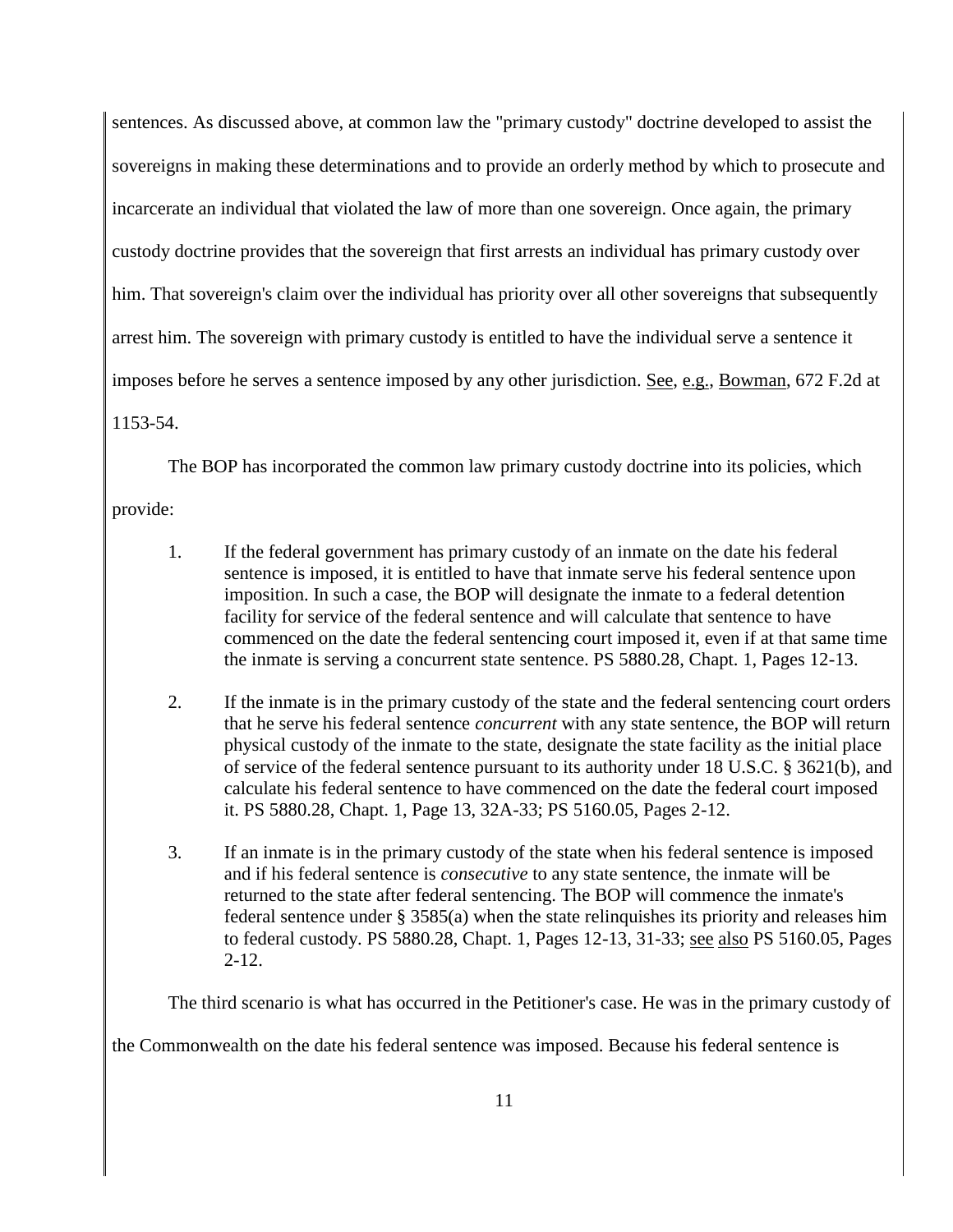sentences. As discussed above, at common law the "primary custody" doctrine developed to assist the sovereigns in making these determinations and to provide an orderly method by which to prosecute and incarcerate an individual that violated the law of more than one sovereign. Once again, the primary custody doctrine provides that the sovereign that first arrests an individual has primary custody over him. That sovereign's claim over the individual has priority over all other sovereigns that subsequently arrest him. The sovereign with primary custody is entitled to have the individual serve a sentence it imposes before he serves a sentence imposed by any other jurisdiction. See, e.g., Bowman, 672 F.2d at 1153-54.

The BOP has incorporated the common law primary custody doctrine into its policies, which

provide:

- 1. If the federal government has primary custody of an inmate on the date his federal sentence is imposed, it is entitled to have that inmate serve his federal sentence upon imposition. In such a case, the BOP will designate the inmate to a federal detention facility for service of the federal sentence and will calculate that sentence to have commenced on the date the federal sentencing court imposed it, even if at that same time the inmate is serving a concurrent state sentence. PS 5880.28, Chapt. 1, Pages 12-13.
- 2. If the inmate is in the primary custody of the state and the federal sentencing court orders that he serve his federal sentence *concurrent* with any state sentence, the BOP will return physical custody of the inmate to the state, designate the state facility as the initial place of service of the federal sentence pursuant to its authority under 18 U.S.C. § 3621(b), and calculate his federal sentence to have commenced on the date the federal court imposed it. PS 5880.28, Chapt. 1, Page 13, 32A-33; PS 5160.05, Pages 2-12.
- 3. If an inmate is in the primary custody of the state when his federal sentence is imposed and if his federal sentence is *consecutive* to any state sentence, the inmate will be returned to the state after federal sentencing. The BOP will commence the inmate's federal sentence under § 3585(a) when the state relinquishes its priority and releases him to federal custody. PS 5880.28, Chapt. 1, Pages 12-13, 31-33; see also PS 5160.05, Pages 2-12.

The third scenario is what has occurred in the Petitioner's case. He was in the primary custody of

the Commonwealth on the date his federal sentence was imposed. Because his federal sentence is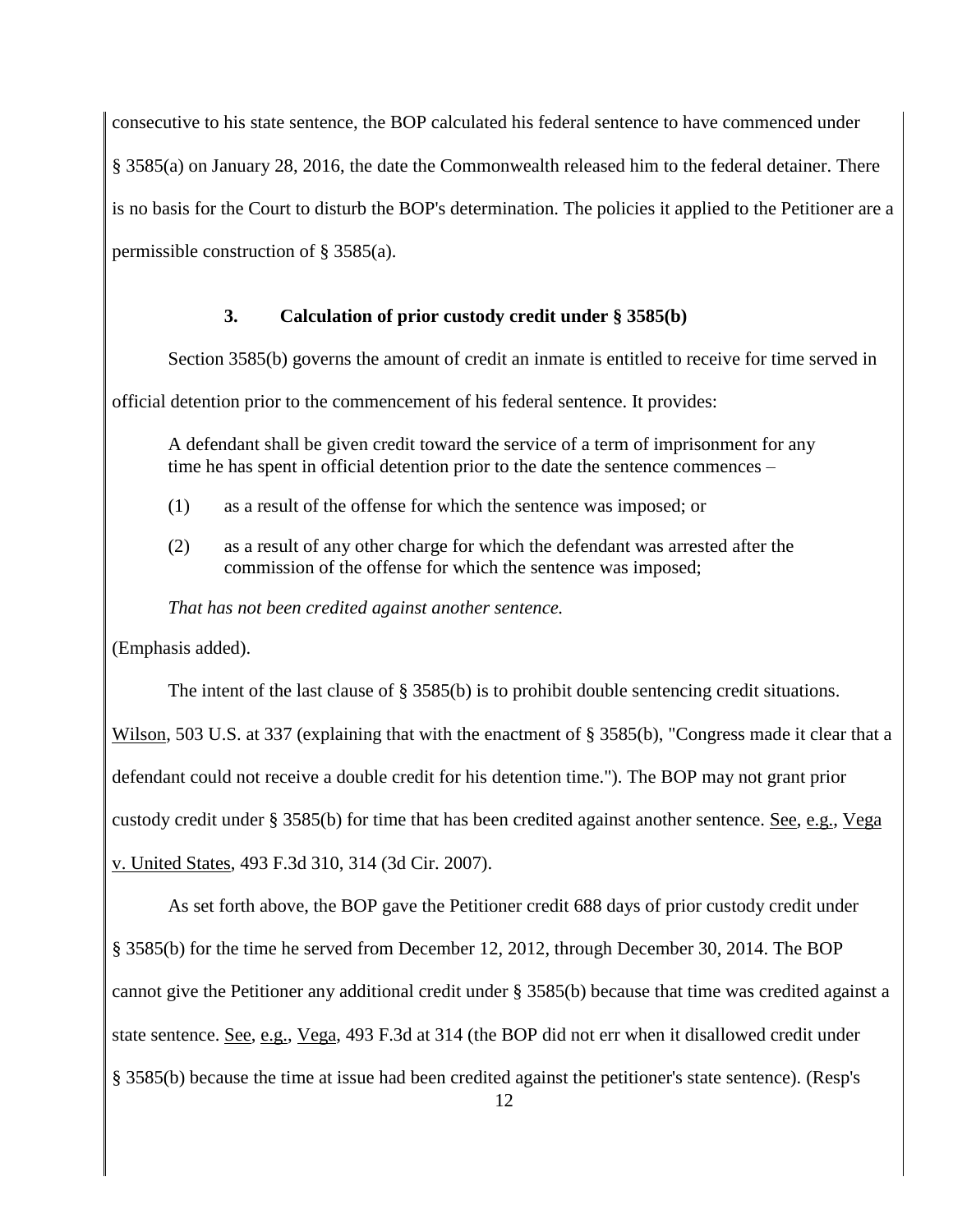consecutive to his state sentence, the BOP calculated his federal sentence to have commenced under

§ 3585(a) on January 28, 2016, the date the Commonwealth released him to the federal detainer. There

is no basis for the Court to disturb the BOP's determination. The policies it applied to the Petitioner are a

permissible construction of § 3585(a).

### **3. Calculation of prior custody credit under § 3585(b)**

Section 3585(b) governs the amount of credit an inmate is entitled to receive for time served in

official detention prior to the commencement of his federal sentence. It provides:

A defendant shall be given credit toward the service of a term of imprisonment for any time he has spent in official detention prior to the date the sentence commences –

- (1) as a result of the offense for which the sentence was imposed; or
- (2) as a result of any other charge for which the defendant was arrested after the commission of the offense for which the sentence was imposed;

*That has not been credited against another sentence.* 

(Emphasis added).

The intent of the last clause of § 3585(b) is to prohibit double sentencing credit situations.

Wilson, 503 U.S. at 337 (explaining that with the enactment of § 3585(b), "Congress made it clear that a defendant could not receive a double credit for his detention time."). The BOP may not grant prior custody credit under § 3585(b) for time that has been credited against another sentence. See, e.g., Vega v. United States, 493 F.3d 310, 314 (3d Cir. 2007).

As set forth above, the BOP gave the Petitioner credit 688 days of prior custody credit under § 3585(b) for the time he served from December 12, 2012, through December 30, 2014. The BOP cannot give the Petitioner any additional credit under § 3585(b) because that time was credited against a state sentence. See, e.g., Vega, 493 F.3d at 314 (the BOP did not err when it disallowed credit under § 3585(b) because the time at issue had been credited against the petitioner's state sentence). (Resp's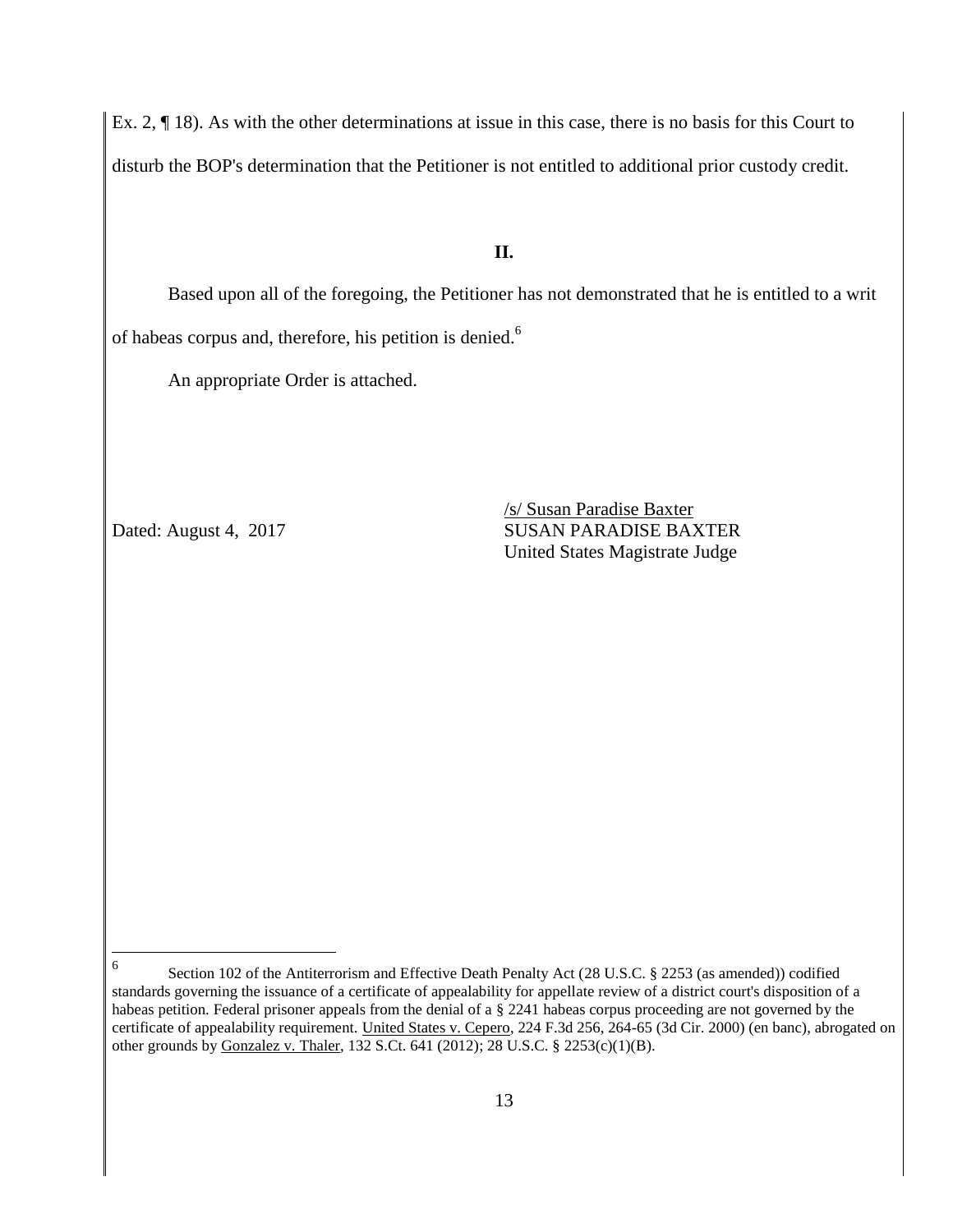Ex. 2, ¶ 18). As with the other determinations at issue in this case, there is no basis for this Court to disturb the BOP's determination that the Petitioner is not entitled to additional prior custody credit.

### **II.**

Based upon all of the foregoing, the Petitioner has not demonstrated that he is entitled to a writ of habeas corpus and, therefore, his petition is denied.<sup>6</sup>

An appropriate Order is attached.

/s/ Susan Paradise Baxter Dated: August 4, 2017 SUSAN PARADISE BAXTER United States Magistrate Judge

 6 Section 102 of the Antiterrorism and Effective Death Penalty Act (28 U.S.C. § 2253 (as amended)) codified standards governing the issuance of a certificate of appealability for appellate review of a district court's disposition of a habeas petition. Federal prisoner appeals from the denial of a § 2241 habeas corpus proceeding are not governed by the certificate of appealability requirement. United States v. Cepero, 224 F.3d 256, 264-65 (3d Cir. 2000) (en banc), abrogated on other grounds by Gonzalez v. Thaler, 132 S.Ct. 641 (2012); 28 U.S.C. § 2253(c)(1)(B).